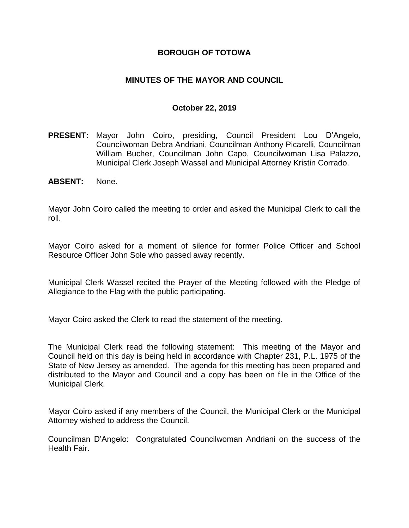### **BOROUGH OF TOTOWA**

### **MINUTES OF THE MAYOR AND COUNCIL**

#### **October 22, 2019**

- **PRESENT:** Mayor John Coiro, presiding, Council President Lou D'Angelo, Councilwoman Debra Andriani, Councilman Anthony Picarelli, Councilman William Bucher, Councilman John Capo, Councilwoman Lisa Palazzo, Municipal Clerk Joseph Wassel and Municipal Attorney Kristin Corrado.
- **ABSENT:** None.

Mayor John Coiro called the meeting to order and asked the Municipal Clerk to call the roll.

Mayor Coiro asked for a moment of silence for former Police Officer and School Resource Officer John Sole who passed away recently.

Municipal Clerk Wassel recited the Prayer of the Meeting followed with the Pledge of Allegiance to the Flag with the public participating.

Mayor Coiro asked the Clerk to read the statement of the meeting.

The Municipal Clerk read the following statement: This meeting of the Mayor and Council held on this day is being held in accordance with Chapter 231, P.L. 1975 of the State of New Jersey as amended. The agenda for this meeting has been prepared and distributed to the Mayor and Council and a copy has been on file in the Office of the Municipal Clerk.

Mayor Coiro asked if any members of the Council, the Municipal Clerk or the Municipal Attorney wished to address the Council.

Councilman D'Angelo: Congratulated Councilwoman Andriani on the success of the Health Fair.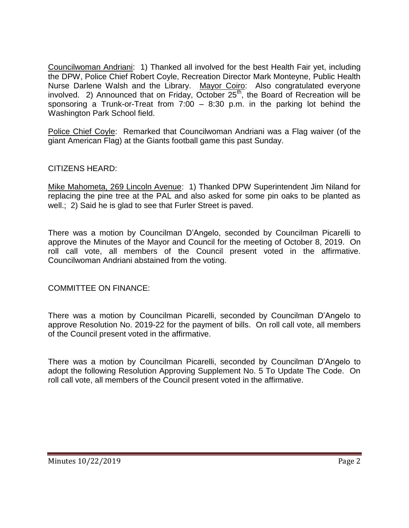Councilwoman Andriani: 1) Thanked all involved for the best Health Fair yet, including the DPW, Police Chief Robert Coyle, Recreation Director Mark Monteyne, Public Health Nurse Darlene Walsh and the Library. Mayor Coiro: Also congratulated everyone involved. 2) Announced that on Friday, October  $25<sup>th</sup>$ , the Board of Recreation will be sponsoring a Trunk-or-Treat from 7:00 – 8:30 p.m. in the parking lot behind the Washington Park School field.

Police Chief Coyle: Remarked that Councilwoman Andriani was a Flag waiver (of the giant American Flag) at the Giants football game this past Sunday.

### CITIZENS HEARD:

Mike Mahometa, 269 Lincoln Avenue: 1) Thanked DPW Superintendent Jim Niland for replacing the pine tree at the PAL and also asked for some pin oaks to be planted as well.; 2) Said he is glad to see that Furler Street is paved.

There was a motion by Councilman D'Angelo, seconded by Councilman Picarelli to approve the Minutes of the Mayor and Council for the meeting of October 8, 2019. On roll call vote, all members of the Council present voted in the affirmative. Councilwoman Andriani abstained from the voting.

COMMITTEE ON FINANCE:

There was a motion by Councilman Picarelli, seconded by Councilman D'Angelo to approve Resolution No. 2019-22 for the payment of bills. On roll call vote, all members of the Council present voted in the affirmative.

There was a motion by Councilman Picarelli, seconded by Councilman D'Angelo to adopt the following Resolution Approving Supplement No. 5 To Update The Code. On roll call vote, all members of the Council present voted in the affirmative.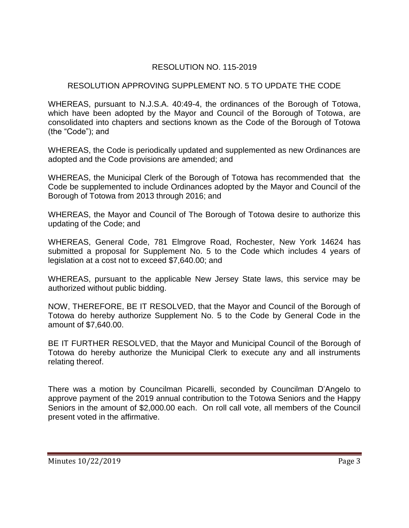# RESOLUTION NO. 115-2019

### RESOLUTION APPROVING SUPPLEMENT NO. 5 TO UPDATE THE CODE

WHEREAS, pursuant to N.J.S.A. 40:49-4, the ordinances of the Borough of Totowa, which have been adopted by the Mayor and Council of the Borough of Totowa, are consolidated into chapters and sections known as the Code of the Borough of Totowa (the "Code"); and

WHEREAS, the Code is periodically updated and supplemented as new Ordinances are adopted and the Code provisions are amended; and

WHEREAS, the Municipal Clerk of the Borough of Totowa has recommended that the Code be supplemented to include Ordinances adopted by the Mayor and Council of the Borough of Totowa from 2013 through 2016; and

WHEREAS, the Mayor and Council of The Borough of Totowa desire to authorize this updating of the Code; and

WHEREAS, General Code, 781 Elmgrove Road, Rochester, New York 14624 has submitted a proposal for Supplement No. 5 to the Code which includes 4 years of legislation at a cost not to exceed \$7,640.00; and

WHEREAS, pursuant to the applicable New Jersey State laws, this service may be authorized without public bidding.

NOW, THEREFORE, BE IT RESOLVED, that the Mayor and Council of the Borough of Totowa do hereby authorize Supplement No. 5 to the Code by General Code in the amount of \$7,640.00.

BE IT FURTHER RESOLVED, that the Mayor and Municipal Council of the Borough of Totowa do hereby authorize the Municipal Clerk to execute any and all instruments relating thereof.

There was a motion by Councilman Picarelli, seconded by Councilman D'Angelo to approve payment of the 2019 annual contribution to the Totowa Seniors and the Happy Seniors in the amount of \$2,000.00 each. On roll call vote, all members of the Council present voted in the affirmative.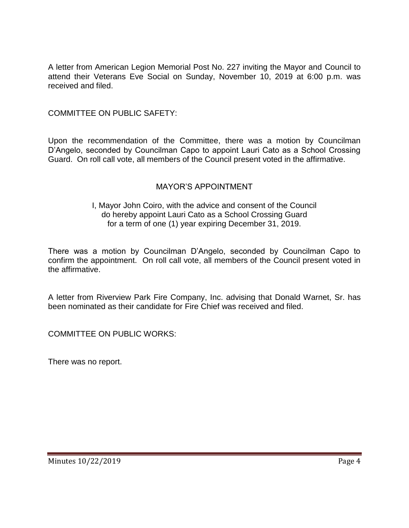A letter from American Legion Memorial Post No. 227 inviting the Mayor and Council to attend their Veterans Eve Social on Sunday, November 10, 2019 at 6:00 p.m. was received and filed.

### COMMITTEE ON PUBLIC SAFETY:

Upon the recommendation of the Committee, there was a motion by Councilman D'Angelo, seconded by Councilman Capo to appoint Lauri Cato as a School Crossing Guard. On roll call vote, all members of the Council present voted in the affirmative.

## MAYOR'S APPOINTMENT

#### I, Mayor John Coiro, with the advice and consent of the Council do hereby appoint Lauri Cato as a School Crossing Guard for a term of one (1) year expiring December 31, 2019.

There was a motion by Councilman D'Angelo, seconded by Councilman Capo to confirm the appointment. On roll call vote, all members of the Council present voted in the affirmative.

A letter from Riverview Park Fire Company, Inc. advising that Donald Warnet, Sr. has been nominated as their candidate for Fire Chief was received and filed.

COMMITTEE ON PUBLIC WORKS:

There was no report.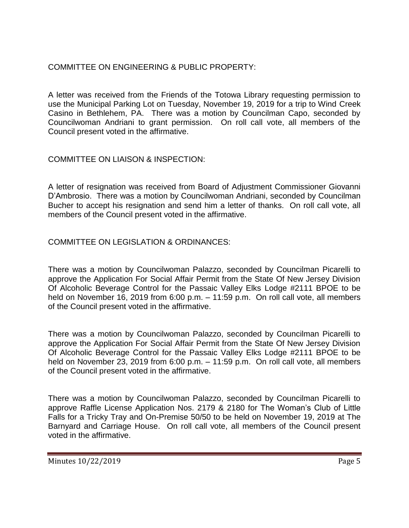# COMMITTEE ON ENGINEERING & PUBLIC PROPERTY:

A letter was received from the Friends of the Totowa Library requesting permission to use the Municipal Parking Lot on Tuesday, November 19, 2019 for a trip to Wind Creek Casino in Bethlehem, PA. There was a motion by Councilman Capo, seconded by Councilwoman Andriani to grant permission. On roll call vote, all members of the Council present voted in the affirmative.

# COMMITTEE ON LIAISON & INSPECTION:

A letter of resignation was received from Board of Adjustment Commissioner Giovanni D'Ambrosio. There was a motion by Councilwoman Andriani, seconded by Councilman Bucher to accept his resignation and send him a letter of thanks. On roll call vote, all members of the Council present voted in the affirmative.

# COMMITTEE ON LEGISLATION & ORDINANCES:

There was a motion by Councilwoman Palazzo, seconded by Councilman Picarelli to approve the Application For Social Affair Permit from the State Of New Jersey Division Of Alcoholic Beverage Control for the Passaic Valley Elks Lodge #2111 BPOE to be held on November 16, 2019 from 6:00 p.m. – 11:59 p.m. On roll call vote, all members of the Council present voted in the affirmative.

There was a motion by Councilwoman Palazzo, seconded by Councilman Picarelli to approve the Application For Social Affair Permit from the State Of New Jersey Division Of Alcoholic Beverage Control for the Passaic Valley Elks Lodge #2111 BPOE to be held on November 23, 2019 from 6:00 p.m. – 11:59 p.m. On roll call vote, all members of the Council present voted in the affirmative.

There was a motion by Councilwoman Palazzo, seconded by Councilman Picarelli to approve Raffle License Application Nos. 2179 & 2180 for The Woman's Club of Little Falls for a Tricky Tray and On-Premise 50/50 to be held on November 19, 2019 at The Barnyard and Carriage House. On roll call vote, all members of the Council present voted in the affirmative.